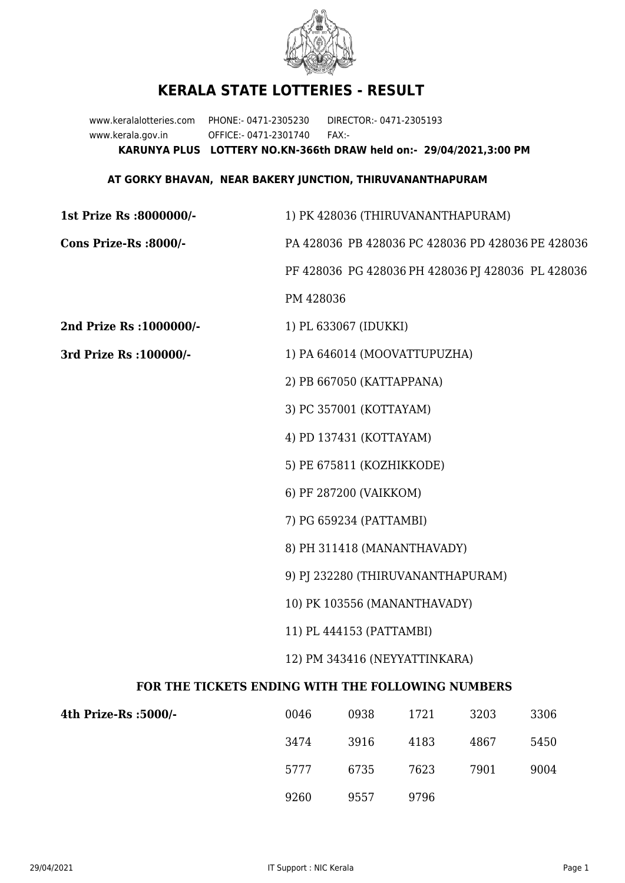

## **KERALA STATE LOTTERIES - RESULT**

www.keralalotteries.com PHONE:- 0471-2305230 DIRECTOR:- 0471-2305193 www.kerala.gov.in OFFICE:- 0471-2301740 FAX:- **KARUNYA PLUS LOTTERY NO.KN-366th DRAW held on:- 29/04/2021,3:00 PM**

## **AT GORKY BHAVAN, NEAR BAKERY JUNCTION, THIRUVANANTHAPURAM**

| 1st Prize Rs :8000000/-                           | 1) PK 428036 (THIRUVANANTHAPURAM)                        |                              |      |      |                                                   |  |  |
|---------------------------------------------------|----------------------------------------------------------|------------------------------|------|------|---------------------------------------------------|--|--|
| Cons Prize-Rs :8000/-                             |                                                          |                              |      |      | PA 428036 PB 428036 PC 428036 PD 428036 PE 428036 |  |  |
|                                                   |                                                          |                              |      |      | PF 428036 PG 428036 PH 428036 PJ 428036 PL 428036 |  |  |
|                                                   | PM 428036                                                |                              |      |      |                                                   |  |  |
| 2nd Prize Rs : 1000000/-                          |                                                          | 1) PL 633067 (IDUKKI)        |      |      |                                                   |  |  |
| 3rd Prize Rs : 100000/-                           |                                                          | 1) PA 646014 (MOOVATTUPUZHA) |      |      |                                                   |  |  |
|                                                   |                                                          | 2) PB 667050 (KATTAPPANA)    |      |      |                                                   |  |  |
|                                                   |                                                          | 3) PC 357001 (KOTTAYAM)      |      |      |                                                   |  |  |
|                                                   |                                                          | 4) PD 137431 (KOTTAYAM)      |      |      |                                                   |  |  |
|                                                   |                                                          | 5) PE 675811 (KOZHIKKODE)    |      |      |                                                   |  |  |
|                                                   |                                                          | 6) PF 287200 (VAIKKOM)       |      |      |                                                   |  |  |
|                                                   |                                                          | 7) PG 659234 (PATTAMBI)      |      |      |                                                   |  |  |
|                                                   |                                                          | 8) PH 311418 (MANANTHAVADY)  |      |      |                                                   |  |  |
|                                                   | 9) PJ 232280 (THIRUVANANTHAPURAM)                        |                              |      |      |                                                   |  |  |
|                                                   | 10) PK 103556 (MANANTHAVADY)<br>11) PL 444153 (PATTAMBI) |                              |      |      |                                                   |  |  |
|                                                   |                                                          |                              |      |      |                                                   |  |  |
|                                                   | 12) PM 343416 (NEYYATTINKARA)                            |                              |      |      |                                                   |  |  |
| FOR THE TICKETS ENDING WITH THE FOLLOWING NUMBERS |                                                          |                              |      |      |                                                   |  |  |
| 4th Prize-Rs :5000/-                              | 0046                                                     | 0938                         | 1721 | 3203 | 3306                                              |  |  |

| 4th Prize-Rs :5000/- | 0046 | 0938 | 1721 | 3203 | 3306 |
|----------------------|------|------|------|------|------|
|                      | 3474 | 3916 | 4183 | 4867 | 5450 |
|                      | 5777 | 6735 | 7623 | 7901 | 9004 |
|                      | 9260 | 9557 | 9796 |      |      |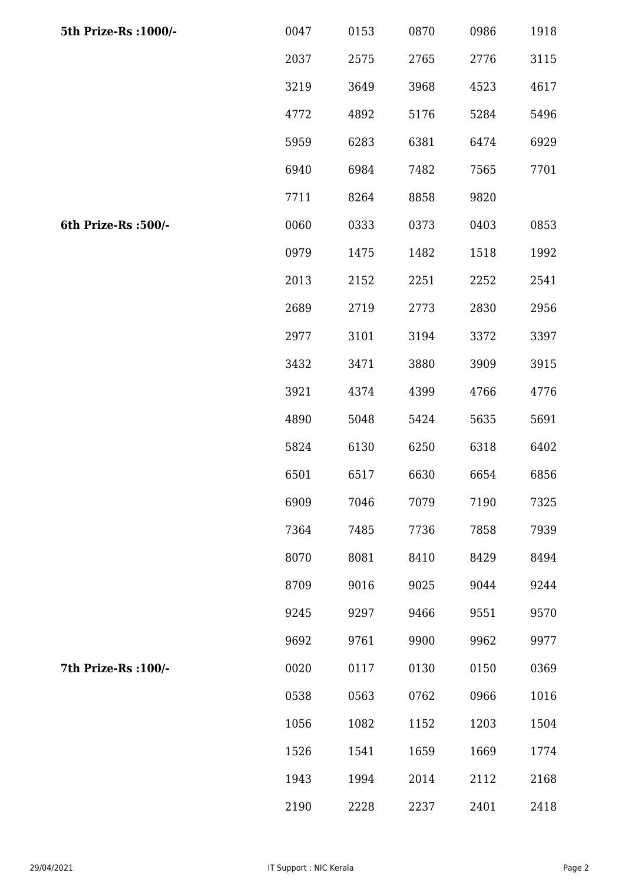| 5th Prize-Rs : 1000/- | 0047 | 0153 | 0870 | 0986 | 1918 |
|-----------------------|------|------|------|------|------|
|                       | 2037 | 2575 | 2765 | 2776 | 3115 |
|                       | 3219 | 3649 | 3968 | 4523 | 4617 |
|                       | 4772 | 4892 | 5176 | 5284 | 5496 |
|                       | 5959 | 6283 | 6381 | 6474 | 6929 |
|                       | 6940 | 6984 | 7482 | 7565 | 7701 |
|                       | 7711 | 8264 | 8858 | 9820 |      |
| 6th Prize-Rs :500/-   | 0060 | 0333 | 0373 | 0403 | 0853 |
|                       | 0979 | 1475 | 1482 | 1518 | 1992 |
|                       | 2013 | 2152 | 2251 | 2252 | 2541 |
|                       | 2689 | 2719 | 2773 | 2830 | 2956 |
|                       | 2977 | 3101 | 3194 | 3372 | 3397 |
|                       | 3432 | 3471 | 3880 | 3909 | 3915 |
|                       | 3921 | 4374 | 4399 | 4766 | 4776 |
|                       | 4890 | 5048 | 5424 | 5635 | 5691 |
|                       | 5824 | 6130 | 6250 | 6318 | 6402 |
|                       | 6501 | 6517 | 6630 | 6654 | 6856 |
|                       | 6909 | 7046 | 7079 | 7190 | 7325 |
|                       | 7364 | 7485 | 7736 | 7858 | 7939 |
|                       | 8070 | 8081 | 8410 | 8429 | 8494 |
|                       | 8709 | 9016 | 9025 | 9044 | 9244 |
|                       | 9245 | 9297 | 9466 | 9551 | 9570 |
|                       | 9692 | 9761 | 9900 | 9962 | 9977 |
| 7th Prize-Rs : 100/-  | 0020 | 0117 | 0130 | 0150 | 0369 |
|                       | 0538 | 0563 | 0762 | 0966 | 1016 |
|                       | 1056 | 1082 | 1152 | 1203 | 1504 |
|                       | 1526 | 1541 | 1659 | 1669 | 1774 |
|                       | 1943 | 1994 | 2014 | 2112 | 2168 |
|                       | 2190 | 2228 | 2237 | 2401 | 2418 |